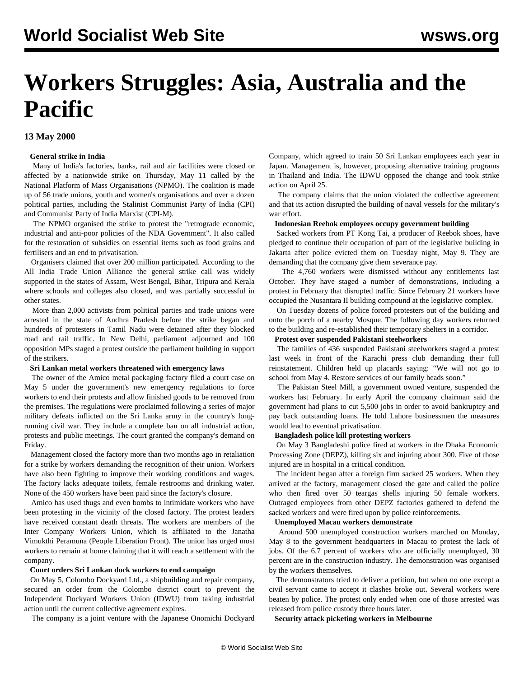# **Workers Struggles: Asia, Australia and the Pacific**

# **13 May 2000**

## **General strike in India**

 Many of India's factories, banks, rail and air facilities were closed or affected by a nationwide strike on Thursday, May 11 called by the National Platform of Mass Organisations (NPMO). The coalition is made up of 56 trade unions, youth and women's organisations and over a dozen political parties, including the Stalinist Communist Party of India (CPI) and Communist Party of India Marxist (CPI-M).

 The NPMO organised the strike to protest the "retrograde economic, industrial and anti-poor policies of the NDA Government". It also called for the restoration of subsidies on essential items such as food grains and fertilisers and an end to privatisation.

 Organisers claimed that over 200 million participated. According to the All India Trade Union Alliance the general strike call was widely supported in the states of Assam, West Bengal, Bihar, Tripura and Kerala where schools and colleges also closed, and was partially successful in other states.

 More than 2,000 activists from political parties and trade unions were arrested in the state of Andhra Pradesh before the strike began and hundreds of protesters in Tamil Nadu were detained after they blocked road and rail traffic. In New Delhi, parliament adjourned and 100 opposition MPs staged a protest outside the parliament building in support of the strikers.

#### **Sri Lankan metal workers threatened with emergency laws**

 The owner of the Amico metal packaging factory filed a court case on May 5 under the government's new emergency regulations to force workers to end their protests and allow finished goods to be removed from the premises. The regulations were proclaimed following a series of major military defeats inflicted on the Sri Lanka army in the country's longrunning civil war. They include a complete ban on all industrial action, protests and public meetings. The court granted the company's demand on Friday.

 Management closed the factory more than two months ago in retaliation for a strike by workers demanding the recognition of their union. Workers have also been fighting to improve their working conditions and wages. The factory lacks adequate toilets, female restrooms and drinking water. None of the 450 workers have been paid since the factory's closure.

 Amico has used thugs and even bombs to intimidate workers who have been protesting in the vicinity of the closed factory. The protest leaders have received constant death threats. The workers are members of the Inter Company Workers Union, which is affiliated to the Janatha Vimukthi Peramuna (People Liberation Front). The union has urged most workers to remain at home claiming that it will reach a settlement with the company.

#### **Court orders Sri Lankan dock workers to end campaign**

 On May 5, Colombo Dockyard Ltd., a shipbuilding and repair company, secured an order from the Colombo district court to prevent the Independent Dockyard Workers Union (IDWU) from taking industrial action until the current collective agreement expires.

The company is a joint venture with the Japanese Onomichi Dockyard

Company, which agreed to train 50 Sri Lankan employees each year in Japan. Management is, however, proposing alternative training programs in Thailand and India. The IDWU opposed the change and took strike action on April 25.

 The company claims that the union violated the collective agreement and that its action disrupted the building of naval vessels for the military's war effort.

#### **Indonesian Reebok employees occupy government building**

 Sacked workers from PT Kong Tai, a producer of Reebok shoes, have pledged to continue their occupation of part of the legislative building in Jakarta after police evicted them on Tuesday night, May 9. They are demanding that the company give them severance pay.

 The 4,760 workers were dismissed without any entitlements last October. They have staged a number of demonstrations, including a protest in February that disrupted traffic. Since February 21 workers have occupied the Nusantara II building compound at the legislative complex.

 On Tuesday dozens of police forced protesters out of the building and onto the porch of a nearby Mosque. The following day workers returned to the building and re-established their temporary shelters in a corridor.

# **Protest over suspended Pakistani steelworkers**

 The families of 436 suspended Pakistani steelworkers staged a protest last week in front of the Karachi press club demanding their full reinstatement. Children held up placards saying: "We will not go to school from May 4. Restore services of our family heads soon."

 The Pakistan Steel Mill, a government owned venture, suspended the workers last February. In early April the company chairman said the government had plans to cut 5,500 jobs in order to avoid bankruptcy and pay back outstanding loans. He told Lahore businessmen the measures would lead to eventual privatisation.

## **Bangladesh police kill protesting workers**

 On May 3 Bangladeshi police fired at workers in the Dhaka Economic Processing Zone (DEPZ), killing six and injuring about 300. Five of those injured are in hospital in a critical condition.

 The incident began after a foreign firm sacked 25 workers. When they arrived at the factory, management closed the gate and called the police who then fired over 50 teargas shells injuring 50 female workers. Outraged employees from other DEPZ factories gathered to defend the sacked workers and were fired upon by police reinforcements.

#### **Unemployed Macau workers demonstrate**

 Around 500 unemployed construction workers marched on Monday, May 8 to the government headquarters in Macau to protest the lack of jobs. Of the 6.7 percent of workers who are officially unemployed, 30 percent are in the construction industry. The demonstration was organised by the workers themselves.

 The demonstrators tried to deliver a petition, but when no one except a civil servant came to accept it clashes broke out. Several workers were beaten by police. The protest only ended when one of those arrested was released from police custody three hours later.

**Security attack picketing workers in Melbourne**